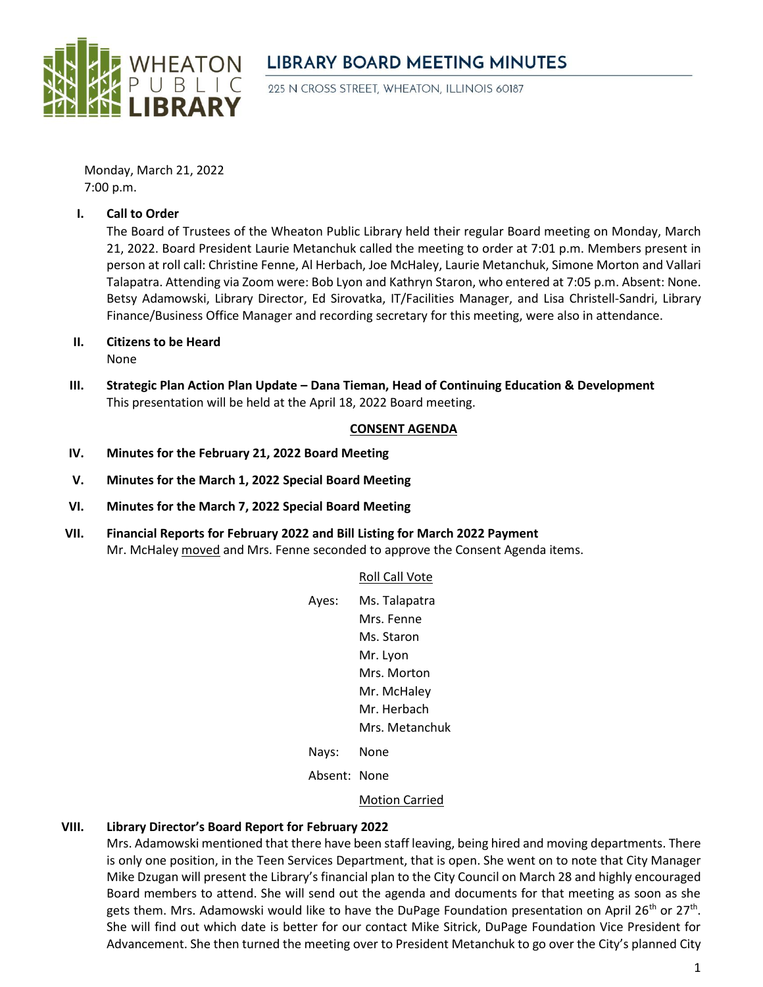

# **LIBRARY BOARD MEETING MINUTES**

225 N CROSS STREET, WHEATON, ILLINOIS 60187

Monday, March 21, 2022 7:00 p.m.

#### **I. Call to Order**

The Board of Trustees of the Wheaton Public Library held their regular Board meeting on Monday, March 21, 2022. Board President Laurie Metanchuk called the meeting to order at 7:01 p.m. Members present in person at roll call: Christine Fenne, Al Herbach, Joe McHaley, Laurie Metanchuk, Simone Morton and Vallari Talapatra. Attending via Zoom were: Bob Lyon and Kathryn Staron, who entered at 7:05 p.m. Absent: None. Betsy Adamowski, Library Director, Ed Sirovatka, IT/Facilities Manager, and Lisa Christell-Sandri, Library Finance/Business Office Manager and recording secretary for this meeting, were also in attendance.

**II. Citizens to be Heard**

None

**III. Strategic Plan Action Plan Update – Dana Tieman, Head of Continuing Education & Development** This presentation will be held at the April 18, 2022 Board meeting.

#### **CONSENT AGENDA**

- **IV. Minutes for the February 21, 2022 Board Meeting**
- **V. Minutes for the March 1, 2022 Special Board Meeting**
- **VI. Minutes for the March 7, 2022 Special Board Meeting**
- **VII. Financial Reports for February 2022 and Bill Listing for March 2022 Payment** Mr. McHaley moved and Mrs. Fenne seconded to approve the Consent Agenda items.

#### Roll Call Vote

| Ayes:   | Ms. Talapatra  |
|---------|----------------|
|         | Mrs. Fenne     |
|         | Ms. Staron     |
|         | Mr. Lyon       |
|         | Mrs. Morton    |
|         | Mr. McHaley    |
|         | Mr. Herbach    |
|         | Mrs. Metanchuk |
| ۱۱۵٬۱۲۰ | Nlona          |

Nays: None

Absent: None

#### Motion Carried

## **VIII. Library Director's Board Report for February 2022**

Mrs. Adamowski mentioned that there have been staff leaving, being hired and moving departments. There is only one position, in the Teen Services Department, that is open. She went on to note that City Manager Mike Dzugan will present the Library's financial plan to the City Council on March 28 and highly encouraged Board members to attend. She will send out the agenda and documents for that meeting as soon as she gets them. Mrs. Adamowski would like to have the DuPage Foundation presentation on April 26<sup>th</sup> or 27<sup>th</sup>. She will find out which date is better for our contact Mike Sitrick, DuPage Foundation Vice President for Advancement. She then turned the meeting over to President Metanchuk to go over the City's planned City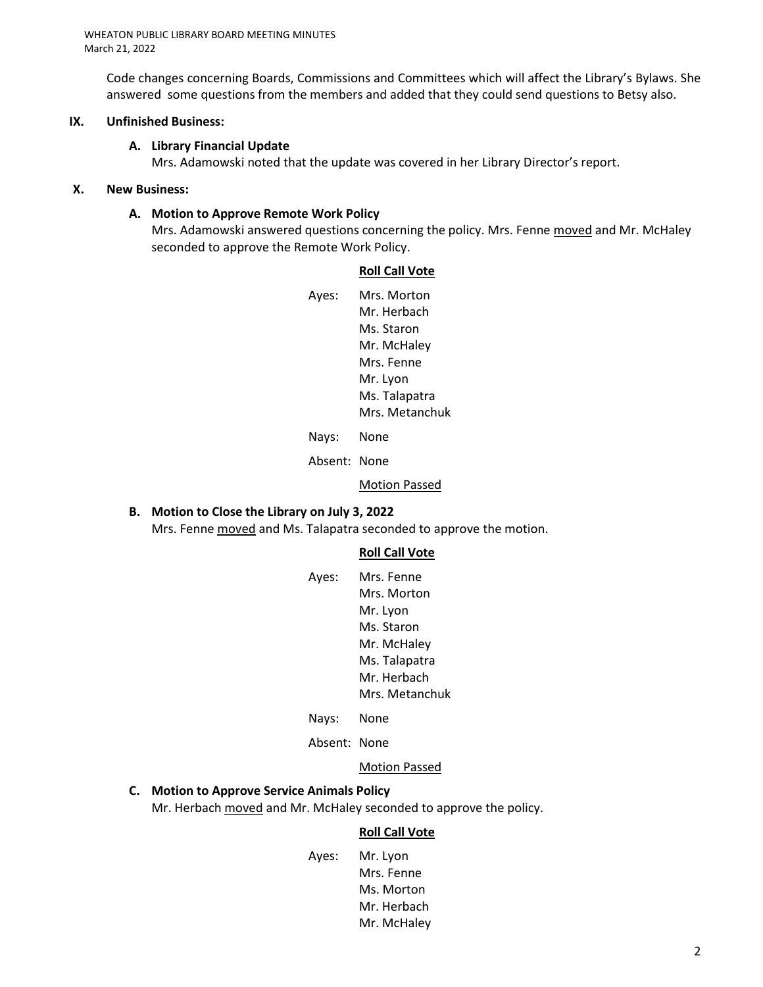Code changes concerning Boards, Commissions and Committees which will affect the Library's Bylaws. She answered some questions from the members and added that they could send questions to Betsy also.

#### **IX. Unfinished Business:**

#### **A. Library Financial Update**

Mrs. Adamowski noted that the update was covered in her Library Director's report.

#### **X. New Business:**

#### **A. Motion to Approve Remote Work Policy**

Mrs. Adamowski answered questions concerning the policy. Mrs. Fenne moved and Mr. McHaley seconded to approve the Remote Work Policy.

#### **Roll Call Vote**

Ayes: Mrs. Morton Mr. Herbach Ms. Staron Mr. McHaley Mrs. Fenne Mr. Lyon Ms. Talapatra Mrs. Metanchuk

Nays: None

Absent: None

#### Motion Passed

# **B. Motion to Close the Library on July 3, 2022**

Mrs. Fenne moved and Ms. Talapatra seconded to approve the motion.

#### **Roll Call Vote**

| Ayes: | Mrs. Fenne     |
|-------|----------------|
|       | Mrs. Morton    |
|       | Mr. Lyon       |
|       | Ms. Staron     |
|       | Mr. McHaley    |
|       | Ms. Talapatra  |
|       | Mr. Herbach    |
|       | Mrs. Metanchuk |
|       |                |

- Nays: None
- Absent: None

#### Motion Passed

## **C. Motion to Approve Service Animals Policy**

Mr. Herbach moved and Mr. McHaley seconded to approve the policy.

#### **Roll Call Vote**

Ayes: Mr. Lyon Mrs. Fenne Ms. Morton Mr. Herbach Mr. McHaley